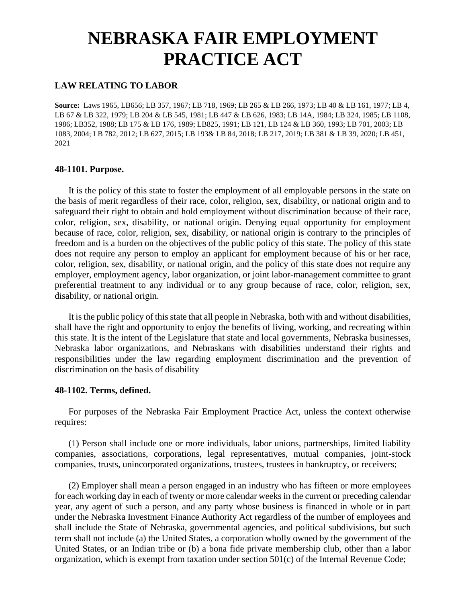# **NEBRASKA FAIR EMPLOYMENT PRACTICE ACT**

# **LAW RELATING TO LABOR**

**Source:** Laws 1965, LB656; LB 357, 1967; LB 718, 1969; LB 265 & LB 266, 1973; LB 40 & LB 161, 1977; LB 4, LB 67 & LB 322, 1979; LB 204 & LB 545, 1981; LB 447 & LB 626, 1983; LB 14A, 1984; LB 324, 1985; LB 1108, 1986; LB352, 1988; LB 175 & LB 176, 1989; LB825, 1991; LB 121, LB 124 & LB 360, 1993; LB 701, 2003; LB 1083, 2004; LB 782, 2012; LB 627, 2015; LB 193& LB 84, 2018; LB 217, 2019; LB 381 & LB 39, 2020; LB 451, 2021

## **48-1101. Purpose.**

It is the policy of this state to foster the employment of all employable persons in the state on the basis of merit regardless of their race, color, religion, sex, disability, or national origin and to safeguard their right to obtain and hold employment without discrimination because of their race, color, religion, sex, disability, or national origin. Denying equal opportunity for employment because of race, color, religion, sex, disability, or national origin is contrary to the principles of freedom and is a burden on the objectives of the public policy of this state. The policy of this state does not require any person to employ an applicant for employment because of his or her race, color, religion, sex, disability, or national origin, and the policy of this state does not require any employer, employment agency, labor organization, or joint labor-management committee to grant preferential treatment to any individual or to any group because of race, color, religion, sex, disability, or national origin.

It is the public policy of this state that all people in Nebraska, both with and without disabilities, shall have the right and opportunity to enjoy the benefits of living, working, and recreating within this state. It is the intent of the Legislature that state and local governments, Nebraska businesses, Nebraska labor organizations, and Nebraskans with disabilities understand their rights and responsibilities under the law regarding employment discrimination and the prevention of discrimination on the basis of disability

#### **48-1102. Terms, defined.**

For purposes of the Nebraska Fair Employment Practice Act, unless the context otherwise requires:

(1) Person shall include one or more individuals, labor unions, partnerships, limited liability companies, associations, corporations, legal representatives, mutual companies, joint-stock companies, trusts, unincorporated organizations, trustees, trustees in bankruptcy, or receivers;

(2) Employer shall mean a person engaged in an industry who has fifteen or more employees for each working day in each of twenty or more calendar weeks in the current or preceding calendar year, any agent of such a person, and any party whose business is financed in whole or in part under the Nebraska Investment Finance Authority Act regardless of the number of employees and shall include the State of Nebraska, governmental agencies, and political subdivisions, but such term shall not include (a) the United States, a corporation wholly owned by the government of the United States, or an Indian tribe or (b) a bona fide private membership club, other than a labor organization, which is exempt from taxation under section 501(c) of the Internal Revenue Code;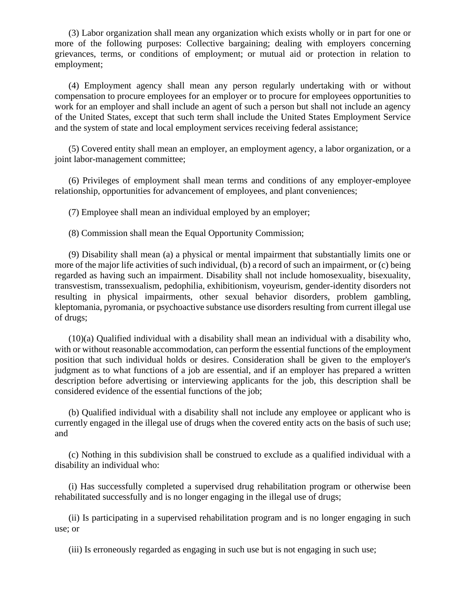(3) Labor organization shall mean any organization which exists wholly or in part for one or more of the following purposes: Collective bargaining; dealing with employers concerning grievances, terms, or conditions of employment; or mutual aid or protection in relation to employment;

(4) Employment agency shall mean any person regularly undertaking with or without compensation to procure employees for an employer or to procure for employees opportunities to work for an employer and shall include an agent of such a person but shall not include an agency of the United States, except that such term shall include the United States Employment Service and the system of state and local employment services receiving federal assistance;

(5) Covered entity shall mean an employer, an employment agency, a labor organization, or a joint labor-management committee;

(6) Privileges of employment shall mean terms and conditions of any employer-employee relationship, opportunities for advancement of employees, and plant conveniences;

(7) Employee shall mean an individual employed by an employer;

(8) Commission shall mean the Equal Opportunity Commission;

(9) Disability shall mean (a) a physical or mental impairment that substantially limits one or more of the major life activities of such individual, (b) a record of such an impairment, or (c) being regarded as having such an impairment. Disability shall not include homosexuality, bisexuality, transvestism, transsexualism, pedophilia, exhibitionism, voyeurism, gender-identity disorders not resulting in physical impairments, other sexual behavior disorders, problem gambling, kleptomania, pyromania, or psychoactive substance use disorders resulting from current illegal use of drugs;

(10)(a) Qualified individual with a disability shall mean an individual with a disability who, with or without reasonable accommodation, can perform the essential functions of the employment position that such individual holds or desires. Consideration shall be given to the employer's judgment as to what functions of a job are essential, and if an employer has prepared a written description before advertising or interviewing applicants for the job, this description shall be considered evidence of the essential functions of the job;

(b) Qualified individual with a disability shall not include any employee or applicant who is currently engaged in the illegal use of drugs when the covered entity acts on the basis of such use; and

(c) Nothing in this subdivision shall be construed to exclude as a qualified individual with a disability an individual who:

(i) Has successfully completed a supervised drug rehabilitation program or otherwise been rehabilitated successfully and is no longer engaging in the illegal use of drugs;

(ii) Is participating in a supervised rehabilitation program and is no longer engaging in such use; or

(iii) Is erroneously regarded as engaging in such use but is not engaging in such use;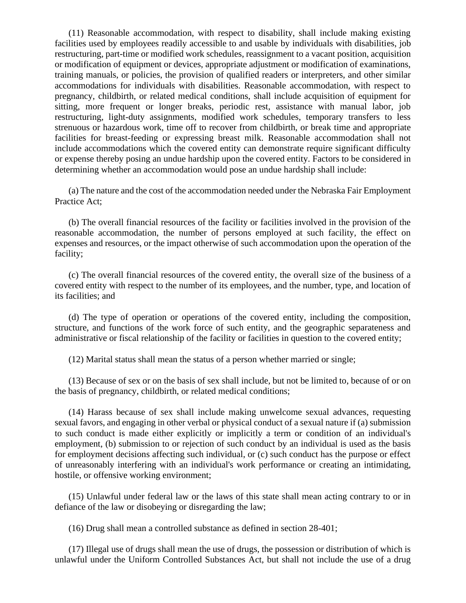(11) Reasonable accommodation, with respect to disability, shall include making existing facilities used by employees readily accessible to and usable by individuals with disabilities, job restructuring, part-time or modified work schedules, reassignment to a vacant position, acquisition or modification of equipment or devices, appropriate adjustment or modification of examinations, training manuals, or policies, the provision of qualified readers or interpreters, and other similar accommodations for individuals with disabilities. Reasonable accommodation, with respect to pregnancy, childbirth, or related medical conditions, shall include acquisition of equipment for sitting, more frequent or longer breaks, periodic rest, assistance with manual labor, job restructuring, light-duty assignments, modified work schedules, temporary transfers to less strenuous or hazardous work, time off to recover from childbirth, or break time and appropriate facilities for breast-feeding or expressing breast milk. Reasonable accommodation shall not include accommodations which the covered entity can demonstrate require significant difficulty or expense thereby posing an undue hardship upon the covered entity. Factors to be considered in determining whether an accommodation would pose an undue hardship shall include:

(a) The nature and the cost of the accommodation needed under the Nebraska Fair Employment Practice Act;

(b) The overall financial resources of the facility or facilities involved in the provision of the reasonable accommodation, the number of persons employed at such facility, the effect on expenses and resources, or the impact otherwise of such accommodation upon the operation of the facility;

(c) The overall financial resources of the covered entity, the overall size of the business of a covered entity with respect to the number of its employees, and the number, type, and location of its facilities; and

(d) The type of operation or operations of the covered entity, including the composition, structure, and functions of the work force of such entity, and the geographic separateness and administrative or fiscal relationship of the facility or facilities in question to the covered entity;

(12) Marital status shall mean the status of a person whether married or single;

(13) Because of sex or on the basis of sex shall include, but not be limited to, because of or on the basis of pregnancy, childbirth, or related medical conditions;

(14) Harass because of sex shall include making unwelcome sexual advances, requesting sexual favors, and engaging in other verbal or physical conduct of a sexual nature if (a) submission to such conduct is made either explicitly or implicitly a term or condition of an individual's employment, (b) submission to or rejection of such conduct by an individual is used as the basis for employment decisions affecting such individual, or (c) such conduct has the purpose or effect of unreasonably interfering with an individual's work performance or creating an intimidating, hostile, or offensive working environment;

(15) Unlawful under federal law or the laws of this state shall mean acting contrary to or in defiance of the law or disobeying or disregarding the law;

(16) Drug shall mean a controlled substance as defined in section 28-401;

(17) Illegal use of drugs shall mean the use of drugs, the possession or distribution of which is unlawful under the Uniform Controlled Substances Act, but shall not include the use of a drug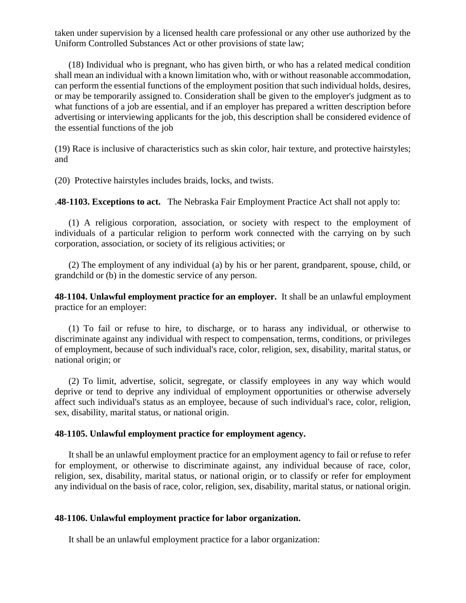taken under supervision by a licensed health care professional or any other use authorized by the Uniform Controlled Substances Act or other provisions of state law;

(18) Individual who is pregnant, who has given birth, or who has a related medical condition shall mean an individual with a known limitation who, with or without reasonable accommodation, can perform the essential functions of the employment position that such individual holds, desires, or may be temporarily assigned to. Consideration shall be given to the employer's judgment as to what functions of a job are essential, and if an employer has prepared a written description before advertising or interviewing applicants for the job, this description shall be considered evidence of the essential functions of the job

(19) Race is inclusive of characteristics such as skin color, hair texture, and protective hairstyles; and

(20) Protective hairstyles includes braids, locks, and twists.

.**48-1103. Exceptions to act.** The Nebraska Fair Employment Practice Act shall not apply to:

(1) A religious corporation, association, or society with respect to the employment of individuals of a particular religion to perform work connected with the carrying on by such corporation, association, or society of its religious activities; or

(2) The employment of any individual (a) by his or her parent, grandparent, spouse, child, or grandchild or (b) in the domestic service of any person.

**48-1104. Unlawful employment practice for an employer.** It shall be an unlawful employment practice for an employer:

(1) To fail or refuse to hire, to discharge, or to harass any individual, or otherwise to discriminate against any individual with respect to compensation, terms, conditions, or privileges of employment, because of such individual's race, color, religion, sex, disability, marital status, or national origin; or

(2) To limit, advertise, solicit, segregate, or classify employees in any way which would deprive or tend to deprive any individual of employment opportunities or otherwise adversely affect such individual's status as an employee, because of such individual's race, color, religion, sex, disability, marital status, or national origin.

#### **48-1105. Unlawful employment practice for employment agency.**

It shall be an unlawful employment practice for an employment agency to fail or refuse to refer for employment, or otherwise to discriminate against, any individual because of race, color, religion, sex, disability, marital status, or national origin, or to classify or refer for employment any individual on the basis of race, color, religion, sex, disability, marital status, or national origin.

#### **48-1106. Unlawful employment practice for labor organization.**

It shall be an unlawful employment practice for a labor organization: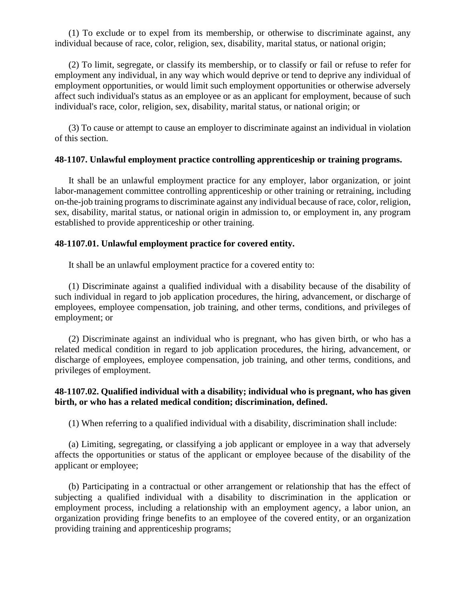(1) To exclude or to expel from its membership, or otherwise to discriminate against, any individual because of race, color, religion, sex, disability, marital status, or national origin;

(2) To limit, segregate, or classify its membership, or to classify or fail or refuse to refer for employment any individual, in any way which would deprive or tend to deprive any individual of employment opportunities, or would limit such employment opportunities or otherwise adversely affect such individual's status as an employee or as an applicant for employment, because of such individual's race, color, religion, sex, disability, marital status, or national origin; or

(3) To cause or attempt to cause an employer to discriminate against an individual in violation of this section.

## **48-1107. Unlawful employment practice controlling apprenticeship or training programs.**

It shall be an unlawful employment practice for any employer, labor organization, or joint labor-management committee controlling apprenticeship or other training or retraining, including on-the-job training programs to discriminate against any individual because of race, color, religion, sex, disability, marital status, or national origin in admission to, or employment in, any program established to provide apprenticeship or other training.

## **48-1107.01. Unlawful employment practice for covered entity.**

It shall be an unlawful employment practice for a covered entity to:

(1) Discriminate against a qualified individual with a disability because of the disability of such individual in regard to job application procedures, the hiring, advancement, or discharge of employees, employee compensation, job training, and other terms, conditions, and privileges of employment; or

(2) Discriminate against an individual who is pregnant, who has given birth, or who has a related medical condition in regard to job application procedures, the hiring, advancement, or discharge of employees, employee compensation, job training, and other terms, conditions, and privileges of employment.

# **48-1107.02. Qualified individual with a disability; individual who is pregnant, who has given birth, or who has a related medical condition; discrimination, defined.**

(1) When referring to a qualified individual with a disability, discrimination shall include:

(a) Limiting, segregating, or classifying a job applicant or employee in a way that adversely affects the opportunities or status of the applicant or employee because of the disability of the applicant or employee;

(b) Participating in a contractual or other arrangement or relationship that has the effect of subjecting a qualified individual with a disability to discrimination in the application or employment process, including a relationship with an employment agency, a labor union, an organization providing fringe benefits to an employee of the covered entity, or an organization providing training and apprenticeship programs;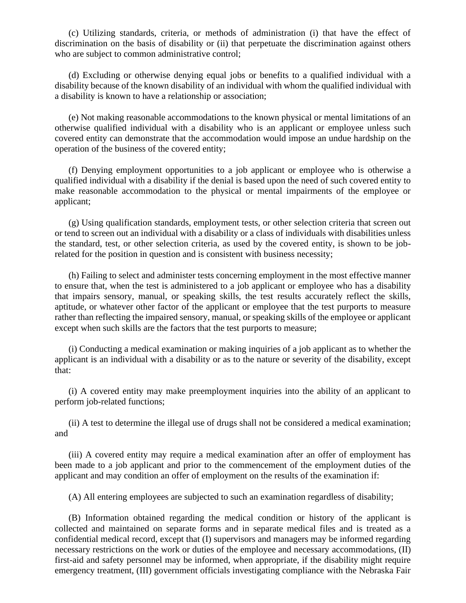(c) Utilizing standards, criteria, or methods of administration (i) that have the effect of discrimination on the basis of disability or (ii) that perpetuate the discrimination against others who are subject to common administrative control;

(d) Excluding or otherwise denying equal jobs or benefits to a qualified individual with a disability because of the known disability of an individual with whom the qualified individual with a disability is known to have a relationship or association;

(e) Not making reasonable accommodations to the known physical or mental limitations of an otherwise qualified individual with a disability who is an applicant or employee unless such covered entity can demonstrate that the accommodation would impose an undue hardship on the operation of the business of the covered entity;

(f) Denying employment opportunities to a job applicant or employee who is otherwise a qualified individual with a disability if the denial is based upon the need of such covered entity to make reasonable accommodation to the physical or mental impairments of the employee or applicant;

(g) Using qualification standards, employment tests, or other selection criteria that screen out or tend to screen out an individual with a disability or a class of individuals with disabilities unless the standard, test, or other selection criteria, as used by the covered entity, is shown to be jobrelated for the position in question and is consistent with business necessity;

(h) Failing to select and administer tests concerning employment in the most effective manner to ensure that, when the test is administered to a job applicant or employee who has a disability that impairs sensory, manual, or speaking skills, the test results accurately reflect the skills, aptitude, or whatever other factor of the applicant or employee that the test purports to measure rather than reflecting the impaired sensory, manual, or speaking skills of the employee or applicant except when such skills are the factors that the test purports to measure;

(i) Conducting a medical examination or making inquiries of a job applicant as to whether the applicant is an individual with a disability or as to the nature or severity of the disability, except that:

(i) A covered entity may make preemployment inquiries into the ability of an applicant to perform job-related functions;

(ii) A test to determine the illegal use of drugs shall not be considered a medical examination; and

(iii) A covered entity may require a medical examination after an offer of employment has been made to a job applicant and prior to the commencement of the employment duties of the applicant and may condition an offer of employment on the results of the examination if:

(A) All entering employees are subjected to such an examination regardless of disability;

(B) Information obtained regarding the medical condition or history of the applicant is collected and maintained on separate forms and in separate medical files and is treated as a confidential medical record, except that (I) supervisors and managers may be informed regarding necessary restrictions on the work or duties of the employee and necessary accommodations, (II) first-aid and safety personnel may be informed, when appropriate, if the disability might require emergency treatment, (III) government officials investigating compliance with the Nebraska Fair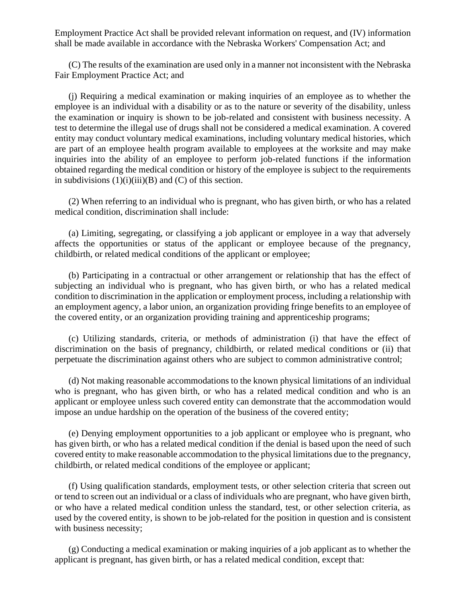Employment Practice Act shall be provided relevant information on request, and (IV) information shall be made available in accordance with the Nebraska Workers' Compensation Act; and

(C) The results of the examination are used only in a manner not inconsistent with the Nebraska Fair Employment Practice Act; and

(j) Requiring a medical examination or making inquiries of an employee as to whether the employee is an individual with a disability or as to the nature or severity of the disability, unless the examination or inquiry is shown to be job-related and consistent with business necessity. A test to determine the illegal use of drugs shall not be considered a medical examination. A covered entity may conduct voluntary medical examinations, including voluntary medical histories, which are part of an employee health program available to employees at the worksite and may make inquiries into the ability of an employee to perform job-related functions if the information obtained regarding the medical condition or history of the employee is subject to the requirements in subdivisions  $(1)(i)(iii)(B)$  and  $(C)$  of this section.

(2) When referring to an individual who is pregnant, who has given birth, or who has a related medical condition, discrimination shall include:

(a) Limiting, segregating, or classifying a job applicant or employee in a way that adversely affects the opportunities or status of the applicant or employee because of the pregnancy, childbirth, or related medical conditions of the applicant or employee;

(b) Participating in a contractual or other arrangement or relationship that has the effect of subjecting an individual who is pregnant, who has given birth, or who has a related medical condition to discrimination in the application or employment process, including a relationship with an employment agency, a labor union, an organization providing fringe benefits to an employee of the covered entity, or an organization providing training and apprenticeship programs;

(c) Utilizing standards, criteria, or methods of administration (i) that have the effect of discrimination on the basis of pregnancy, childbirth, or related medical conditions or (ii) that perpetuate the discrimination against others who are subject to common administrative control;

(d) Not making reasonable accommodations to the known physical limitations of an individual who is pregnant, who has given birth, or who has a related medical condition and who is an applicant or employee unless such covered entity can demonstrate that the accommodation would impose an undue hardship on the operation of the business of the covered entity;

(e) Denying employment opportunities to a job applicant or employee who is pregnant, who has given birth, or who has a related medical condition if the denial is based upon the need of such covered entity to make reasonable accommodation to the physical limitations due to the pregnancy, childbirth, or related medical conditions of the employee or applicant;

(f) Using qualification standards, employment tests, or other selection criteria that screen out or tend to screen out an individual or a class of individuals who are pregnant, who have given birth, or who have a related medical condition unless the standard, test, or other selection criteria, as used by the covered entity, is shown to be job-related for the position in question and is consistent with business necessity;

(g) Conducting a medical examination or making inquiries of a job applicant as to whether the applicant is pregnant, has given birth, or has a related medical condition, except that: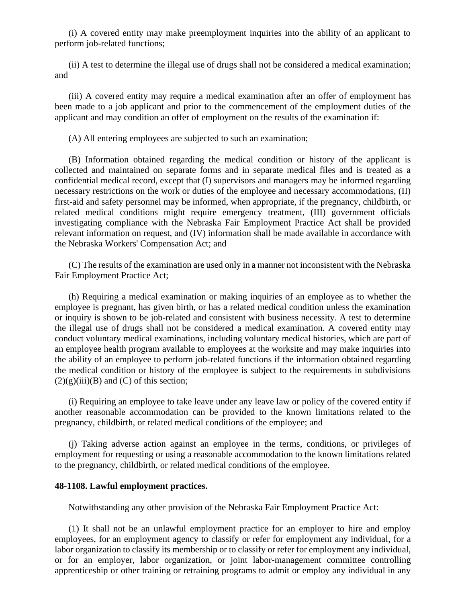(i) A covered entity may make preemployment inquiries into the ability of an applicant to perform job-related functions;

(ii) A test to determine the illegal use of drugs shall not be considered a medical examination; and

(iii) A covered entity may require a medical examination after an offer of employment has been made to a job applicant and prior to the commencement of the employment duties of the applicant and may condition an offer of employment on the results of the examination if:

(A) All entering employees are subjected to such an examination;

(B) Information obtained regarding the medical condition or history of the applicant is collected and maintained on separate forms and in separate medical files and is treated as a confidential medical record, except that (I) supervisors and managers may be informed regarding necessary restrictions on the work or duties of the employee and necessary accommodations, (II) first-aid and safety personnel may be informed, when appropriate, if the pregnancy, childbirth, or related medical conditions might require emergency treatment, (III) government officials investigating compliance with the Nebraska Fair Employment Practice Act shall be provided relevant information on request, and (IV) information shall be made available in accordance with the Nebraska Workers' Compensation Act; and

(C) The results of the examination are used only in a manner not inconsistent with the Nebraska Fair Employment Practice Act;

(h) Requiring a medical examination or making inquiries of an employee as to whether the employee is pregnant, has given birth, or has a related medical condition unless the examination or inquiry is shown to be job-related and consistent with business necessity. A test to determine the illegal use of drugs shall not be considered a medical examination. A covered entity may conduct voluntary medical examinations, including voluntary medical histories, which are part of an employee health program available to employees at the worksite and may make inquiries into the ability of an employee to perform job-related functions if the information obtained regarding the medical condition or history of the employee is subject to the requirements in subdivisions  $(2)(g)(iii)(B)$  and  $(C)$  of this section;

(i) Requiring an employee to take leave under any leave law or policy of the covered entity if another reasonable accommodation can be provided to the known limitations related to the pregnancy, childbirth, or related medical conditions of the employee; and

(j) Taking adverse action against an employee in the terms, conditions, or privileges of employment for requesting or using a reasonable accommodation to the known limitations related to the pregnancy, childbirth, or related medical conditions of the employee.

## **48-1108. Lawful employment practices.**

Notwithstanding any other provision of the Nebraska Fair Employment Practice Act:

(1) It shall not be an unlawful employment practice for an employer to hire and employ employees, for an employment agency to classify or refer for employment any individual, for a labor organization to classify its membership or to classify or refer for employment any individual, or for an employer, labor organization, or joint labor-management committee controlling apprenticeship or other training or retraining programs to admit or employ any individual in any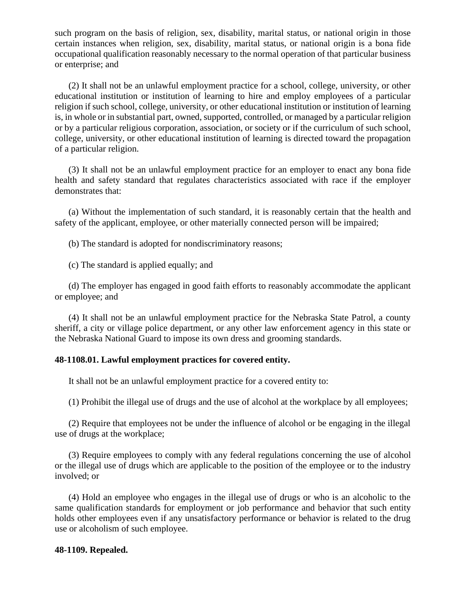such program on the basis of religion, sex, disability, marital status, or national origin in those certain instances when religion, sex, disability, marital status, or national origin is a bona fide occupational qualification reasonably necessary to the normal operation of that particular business or enterprise; and

(2) It shall not be an unlawful employment practice for a school, college, university, or other educational institution or institution of learning to hire and employ employees of a particular religion if such school, college, university, or other educational institution or institution of learning is, in whole or in substantial part, owned, supported, controlled, or managed by a particular religion or by a particular religious corporation, association, or society or if the curriculum of such school, college, university, or other educational institution of learning is directed toward the propagation of a particular religion.

(3) It shall not be an unlawful employment practice for an employer to enact any bona fide health and safety standard that regulates characteristics associated with race if the employer demonstrates that:

(a) Without the implementation of such standard, it is reasonably certain that the health and safety of the applicant, employee, or other materially connected person will be impaired;

(b) The standard is adopted for nondiscriminatory reasons;

(c) The standard is applied equally; and

(d) The employer has engaged in good faith efforts to reasonably accommodate the applicant or employee; and

(4) It shall not be an unlawful employment practice for the Nebraska State Patrol, a county sheriff, a city or village police department, or any other law enforcement agency in this state or the Nebraska National Guard to impose its own dress and grooming standards.

## **48-1108.01. Lawful employment practices for covered entity.**

It shall not be an unlawful employment practice for a covered entity to:

(1) Prohibit the illegal use of drugs and the use of alcohol at the workplace by all employees;

(2) Require that employees not be under the influence of alcohol or be engaging in the illegal use of drugs at the workplace;

(3) Require employees to comply with any federal regulations concerning the use of alcohol or the illegal use of drugs which are applicable to the position of the employee or to the industry involved; or

(4) Hold an employee who engages in the illegal use of drugs or who is an alcoholic to the same qualification standards for employment or job performance and behavior that such entity holds other employees even if any unsatisfactory performance or behavior is related to the drug use or alcoholism of such employee.

## **48-1109. Repealed.**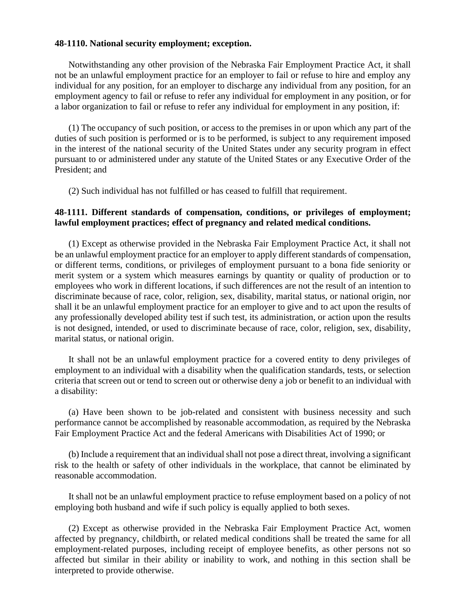## **48-1110. National security employment; exception.**

Notwithstanding any other provision of the Nebraska Fair Employment Practice Act, it shall not be an unlawful employment practice for an employer to fail or refuse to hire and employ any individual for any position, for an employer to discharge any individual from any position, for an employment agency to fail or refuse to refer any individual for employment in any position, or for a labor organization to fail or refuse to refer any individual for employment in any position, if:

(1) The occupancy of such position, or access to the premises in or upon which any part of the duties of such position is performed or is to be performed, is subject to any requirement imposed in the interest of the national security of the United States under any security program in effect pursuant to or administered under any statute of the United States or any Executive Order of the President; and

(2) Such individual has not fulfilled or has ceased to fulfill that requirement.

## **48-1111. Different standards of compensation, conditions, or privileges of employment; lawful employment practices; effect of pregnancy and related medical conditions.**

(1) Except as otherwise provided in the Nebraska Fair Employment Practice Act, it shall not be an unlawful employment practice for an employer to apply different standards of compensation, or different terms, conditions, or privileges of employment pursuant to a bona fide seniority or merit system or a system which measures earnings by quantity or quality of production or to employees who work in different locations, if such differences are not the result of an intention to discriminate because of race, color, religion, sex, disability, marital status, or national origin, nor shall it be an unlawful employment practice for an employer to give and to act upon the results of any professionally developed ability test if such test, its administration, or action upon the results is not designed, intended, or used to discriminate because of race, color, religion, sex, disability, marital status, or national origin.

It shall not be an unlawful employment practice for a covered entity to deny privileges of employment to an individual with a disability when the qualification standards, tests, or selection criteria that screen out or tend to screen out or otherwise deny a job or benefit to an individual with a disability:

(a) Have been shown to be job-related and consistent with business necessity and such performance cannot be accomplished by reasonable accommodation, as required by the Nebraska Fair Employment Practice Act and the federal Americans with Disabilities Act of 1990; or

(b) Include a requirement that an individual shall not pose a direct threat, involving a significant risk to the health or safety of other individuals in the workplace, that cannot be eliminated by reasonable accommodation.

It shall not be an unlawful employment practice to refuse employment based on a policy of not employing both husband and wife if such policy is equally applied to both sexes.

(2) Except as otherwise provided in the Nebraska Fair Employment Practice Act, women affected by pregnancy, childbirth, or related medical conditions shall be treated the same for all employment-related purposes, including receipt of employee benefits, as other persons not so affected but similar in their ability or inability to work, and nothing in this section shall be interpreted to provide otherwise.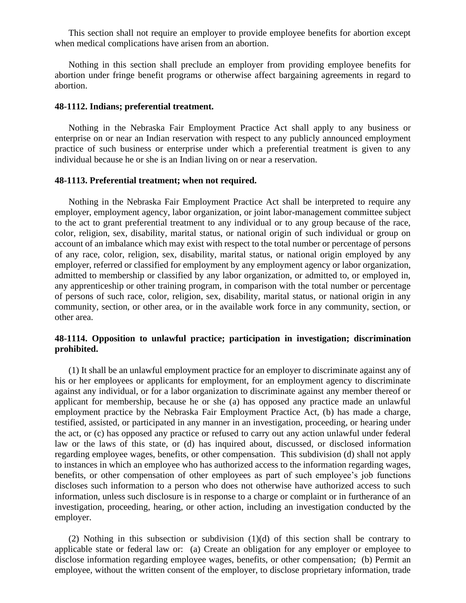This section shall not require an employer to provide employee benefits for abortion except when medical complications have arisen from an abortion.

Nothing in this section shall preclude an employer from providing employee benefits for abortion under fringe benefit programs or otherwise affect bargaining agreements in regard to abortion.

#### **48-1112. Indians; preferential treatment.**

Nothing in the Nebraska Fair Employment Practice Act shall apply to any business or enterprise on or near an Indian reservation with respect to any publicly announced employment practice of such business or enterprise under which a preferential treatment is given to any individual because he or she is an Indian living on or near a reservation.

## **48-1113. Preferential treatment; when not required.**

Nothing in the Nebraska Fair Employment Practice Act shall be interpreted to require any employer, employment agency, labor organization, or joint labor-management committee subject to the act to grant preferential treatment to any individual or to any group because of the race, color, religion, sex, disability, marital status, or national origin of such individual or group on account of an imbalance which may exist with respect to the total number or percentage of persons of any race, color, religion, sex, disability, marital status, or national origin employed by any employer, referred or classified for employment by any employment agency or labor organization, admitted to membership or classified by any labor organization, or admitted to, or employed in, any apprenticeship or other training program, in comparison with the total number or percentage of persons of such race, color, religion, sex, disability, marital status, or national origin in any community, section, or other area, or in the available work force in any community, section, or other area.

## **48-1114. Opposition to unlawful practice; participation in investigation; discrimination prohibited.**

(1) It shall be an unlawful employment practice for an employer to discriminate against any of his or her employees or applicants for employment, for an employment agency to discriminate against any individual, or for a labor organization to discriminate against any member thereof or applicant for membership, because he or she (a) has opposed any practice made an unlawful employment practice by the Nebraska Fair Employment Practice Act, (b) has made a charge, testified, assisted, or participated in any manner in an investigation, proceeding, or hearing under the act, or (c) has opposed any practice or refused to carry out any action unlawful under federal law or the laws of this state, or (d) has inquired about, discussed, or disclosed information regarding employee wages, benefits, or other compensation. This subdivision (d) shall not apply to instances in which an employee who has authorized access to the information regarding wages, benefits, or other compensation of other employees as part of such employee's job functions discloses such information to a person who does not otherwise have authorized access to such information, unless such disclosure is in response to a charge or complaint or in furtherance of an investigation, proceeding, hearing, or other action, including an investigation conducted by the employer.

(2) Nothing in this subsection or subdivision (1)(d) of this section shall be contrary to applicable state or federal law or: (a) Create an obligation for any employer or employee to disclose information regarding employee wages, benefits, or other compensation; (b) Permit an employee, without the written consent of the employer, to disclose proprietary information, trade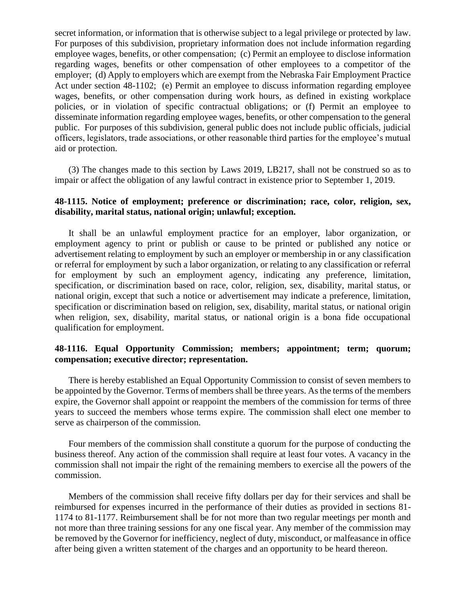secret information, or information that is otherwise subject to a legal privilege or protected by law. For purposes of this subdivision, proprietary information does not include information regarding employee wages, benefits, or other compensation; (c) Permit an employee to disclose information regarding wages, benefits or other compensation of other employees to a competitor of the employer; (d) Apply to employers which are exempt from the Nebraska Fair Employment Practice Act under section 48-1102; (e) Permit an employee to discuss information regarding employee wages, benefits, or other compensation during work hours, as defined in existing workplace policies, or in violation of specific contractual obligations; or (f) Permit an employee to disseminate information regarding employee wages, benefits, or other compensation to the general public. For purposes of this subdivision, general public does not include public officials, judicial officers, legislators, trade associations, or other reasonable third parties for the employee's mutual aid or protection.

(3) The changes made to this section by Laws 2019, LB217, shall not be construed so as to impair or affect the obligation of any lawful contract in existence prior to September 1, 2019.

# **48-1115. Notice of employment; preference or discrimination; race, color, religion, sex, disability, marital status, national origin; unlawful; exception.**

It shall be an unlawful employment practice for an employer, labor organization, or employment agency to print or publish or cause to be printed or published any notice or advertisement relating to employment by such an employer or membership in or any classification or referral for employment by such a labor organization, or relating to any classification or referral for employment by such an employment agency, indicating any preference, limitation, specification, or discrimination based on race, color, religion, sex, disability, marital status, or national origin, except that such a notice or advertisement may indicate a preference, limitation, specification or discrimination based on religion, sex, disability, marital status, or national origin when religion, sex, disability, marital status, or national origin is a bona fide occupational qualification for employment.

# **48-1116. Equal Opportunity Commission; members; appointment; term; quorum; compensation; executive director; representation.**

There is hereby established an Equal Opportunity Commission to consist of seven members to be appointed by the Governor. Terms of members shall be three years. As the terms of the members expire, the Governor shall appoint or reappoint the members of the commission for terms of three years to succeed the members whose terms expire. The commission shall elect one member to serve as chairperson of the commission.

Four members of the commission shall constitute a quorum for the purpose of conducting the business thereof. Any action of the commission shall require at least four votes. A vacancy in the commission shall not impair the right of the remaining members to exercise all the powers of the commission.

Members of the commission shall receive fifty dollars per day for their services and shall be reimbursed for expenses incurred in the performance of their duties as provided in sections 81- 1174 to 81-1177. Reimbursement shall be for not more than two regular meetings per month and not more than three training sessions for any one fiscal year. Any member of the commission may be removed by the Governor for inefficiency, neglect of duty, misconduct, or malfeasance in office after being given a written statement of the charges and an opportunity to be heard thereon.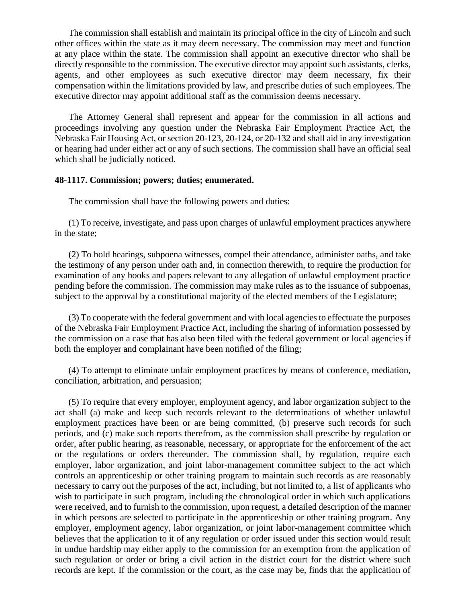The commission shall establish and maintain its principal office in the city of Lincoln and such other offices within the state as it may deem necessary. The commission may meet and function at any place within the state. The commission shall appoint an executive director who shall be directly responsible to the commission. The executive director may appoint such assistants, clerks, agents, and other employees as such executive director may deem necessary, fix their compensation within the limitations provided by law, and prescribe duties of such employees. The executive director may appoint additional staff as the commission deems necessary.

The Attorney General shall represent and appear for the commission in all actions and proceedings involving any question under the Nebraska Fair Employment Practice Act, the Nebraska Fair Housing Act, or section 20-123, 20-124, or 20-132 and shall aid in any investigation or hearing had under either act or any of such sections. The commission shall have an official seal which shall be judicially noticed.

## **48-1117. Commission; powers; duties; enumerated.**

The commission shall have the following powers and duties:

(1) To receive, investigate, and pass upon charges of unlawful employment practices anywhere in the state;

(2) To hold hearings, subpoena witnesses, compel their attendance, administer oaths, and take the testimony of any person under oath and, in connection therewith, to require the production for examination of any books and papers relevant to any allegation of unlawful employment practice pending before the commission. The commission may make rules as to the issuance of subpoenas, subject to the approval by a constitutional majority of the elected members of the Legislature;

(3) To cooperate with the federal government and with local agencies to effectuate the purposes of the Nebraska Fair Employment Practice Act, including the sharing of information possessed by the commission on a case that has also been filed with the federal government or local agencies if both the employer and complainant have been notified of the filing;

(4) To attempt to eliminate unfair employment practices by means of conference, mediation, conciliation, arbitration, and persuasion;

(5) To require that every employer, employment agency, and labor organization subject to the act shall (a) make and keep such records relevant to the determinations of whether unlawful employment practices have been or are being committed, (b) preserve such records for such periods, and (c) make such reports therefrom, as the commission shall prescribe by regulation or order, after public hearing, as reasonable, necessary, or appropriate for the enforcement of the act or the regulations or orders thereunder. The commission shall, by regulation, require each employer, labor organization, and joint labor-management committee subject to the act which controls an apprenticeship or other training program to maintain such records as are reasonably necessary to carry out the purposes of the act, including, but not limited to, a list of applicants who wish to participate in such program, including the chronological order in which such applications were received, and to furnish to the commission, upon request, a detailed description of the manner in which persons are selected to participate in the apprenticeship or other training program. Any employer, employment agency, labor organization, or joint labor-management committee which believes that the application to it of any regulation or order issued under this section would result in undue hardship may either apply to the commission for an exemption from the application of such regulation or order or bring a civil action in the district court for the district where such records are kept. If the commission or the court, as the case may be, finds that the application of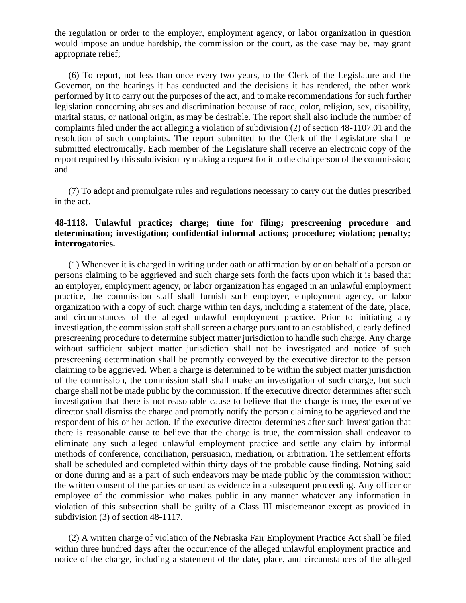the regulation or order to the employer, employment agency, or labor organization in question would impose an undue hardship, the commission or the court, as the case may be, may grant appropriate relief;

(6) To report, not less than once every two years, to the Clerk of the Legislature and the Governor, on the hearings it has conducted and the decisions it has rendered, the other work performed by it to carry out the purposes of the act, and to make recommendations for such further legislation concerning abuses and discrimination because of race, color, religion, sex, disability, marital status, or national origin, as may be desirable. The report shall also include the number of complaints filed under the act alleging a violation of subdivision (2) of section 48-1107.01 and the resolution of such complaints. The report submitted to the Clerk of the Legislature shall be submitted electronically. Each member of the Legislature shall receive an electronic copy of the report required by this subdivision by making a request for it to the chairperson of the commission; and

(7) To adopt and promulgate rules and regulations necessary to carry out the duties prescribed in the act.

# **48-1118. Unlawful practice; charge; time for filing; prescreening procedure and determination; investigation; confidential informal actions; procedure; violation; penalty; interrogatories.**

(1) Whenever it is charged in writing under oath or affirmation by or on behalf of a person or persons claiming to be aggrieved and such charge sets forth the facts upon which it is based that an employer, employment agency, or labor organization has engaged in an unlawful employment practice, the commission staff shall furnish such employer, employment agency, or labor organization with a copy of such charge within ten days, including a statement of the date, place, and circumstances of the alleged unlawful employment practice. Prior to initiating any investigation, the commission staff shall screen a charge pursuant to an established, clearly defined prescreening procedure to determine subject matter jurisdiction to handle such charge. Any charge without sufficient subject matter jurisdiction shall not be investigated and notice of such prescreening determination shall be promptly conveyed by the executive director to the person claiming to be aggrieved. When a charge is determined to be within the subject matter jurisdiction of the commission, the commission staff shall make an investigation of such charge, but such charge shall not be made public by the commission. If the executive director determines after such investigation that there is not reasonable cause to believe that the charge is true, the executive director shall dismiss the charge and promptly notify the person claiming to be aggrieved and the respondent of his or her action. If the executive director determines after such investigation that there is reasonable cause to believe that the charge is true, the commission shall endeavor to eliminate any such alleged unlawful employment practice and settle any claim by informal methods of conference, conciliation, persuasion, mediation, or arbitration. The settlement efforts shall be scheduled and completed within thirty days of the probable cause finding. Nothing said or done during and as a part of such endeavors may be made public by the commission without the written consent of the parties or used as evidence in a subsequent proceeding. Any officer or employee of the commission who makes public in any manner whatever any information in violation of this subsection shall be guilty of a Class III misdemeanor except as provided in subdivision (3) of section 48-1117.

(2) A written charge of violation of the Nebraska Fair Employment Practice Act shall be filed within three hundred days after the occurrence of the alleged unlawful employment practice and notice of the charge, including a statement of the date, place, and circumstances of the alleged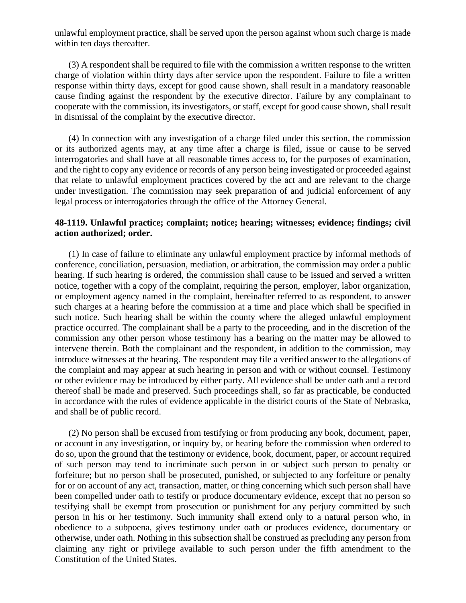unlawful employment practice, shall be served upon the person against whom such charge is made within ten days thereafter.

(3) A respondent shall be required to file with the commission a written response to the written charge of violation within thirty days after service upon the respondent. Failure to file a written response within thirty days, except for good cause shown, shall result in a mandatory reasonable cause finding against the respondent by the executive director. Failure by any complainant to cooperate with the commission, its investigators, or staff, except for good cause shown, shall result in dismissal of the complaint by the executive director.

(4) In connection with any investigation of a charge filed under this section, the commission or its authorized agents may, at any time after a charge is filed, issue or cause to be served interrogatories and shall have at all reasonable times access to, for the purposes of examination, and the right to copy any evidence or records of any person being investigated or proceeded against that relate to unlawful employment practices covered by the act and are relevant to the charge under investigation. The commission may seek preparation of and judicial enforcement of any legal process or interrogatories through the office of the Attorney General.

# **48-1119. Unlawful practice; complaint; notice; hearing; witnesses; evidence; findings; civil action authorized; order.**

(1) In case of failure to eliminate any unlawful employment practice by informal methods of conference, conciliation, persuasion, mediation, or arbitration, the commission may order a public hearing. If such hearing is ordered, the commission shall cause to be issued and served a written notice, together with a copy of the complaint, requiring the person, employer, labor organization, or employment agency named in the complaint, hereinafter referred to as respondent, to answer such charges at a hearing before the commission at a time and place which shall be specified in such notice. Such hearing shall be within the county where the alleged unlawful employment practice occurred. The complainant shall be a party to the proceeding, and in the discretion of the commission any other person whose testimony has a bearing on the matter may be allowed to intervene therein. Both the complainant and the respondent, in addition to the commission, may introduce witnesses at the hearing. The respondent may file a verified answer to the allegations of the complaint and may appear at such hearing in person and with or without counsel. Testimony or other evidence may be introduced by either party. All evidence shall be under oath and a record thereof shall be made and preserved. Such proceedings shall, so far as practicable, be conducted in accordance with the rules of evidence applicable in the district courts of the State of Nebraska, and shall be of public record.

(2) No person shall be excused from testifying or from producing any book, document, paper, or account in any investigation, or inquiry by, or hearing before the commission when ordered to do so, upon the ground that the testimony or evidence, book, document, paper, or account required of such person may tend to incriminate such person in or subject such person to penalty or forfeiture; but no person shall be prosecuted, punished, or subjected to any forfeiture or penalty for or on account of any act, transaction, matter, or thing concerning which such person shall have been compelled under oath to testify or produce documentary evidence, except that no person so testifying shall be exempt from prosecution or punishment for any perjury committed by such person in his or her testimony. Such immunity shall extend only to a natural person who, in obedience to a subpoena, gives testimony under oath or produces evidence, documentary or otherwise, under oath. Nothing in this subsection shall be construed as precluding any person from claiming any right or privilege available to such person under the fifth amendment to the Constitution of the United States.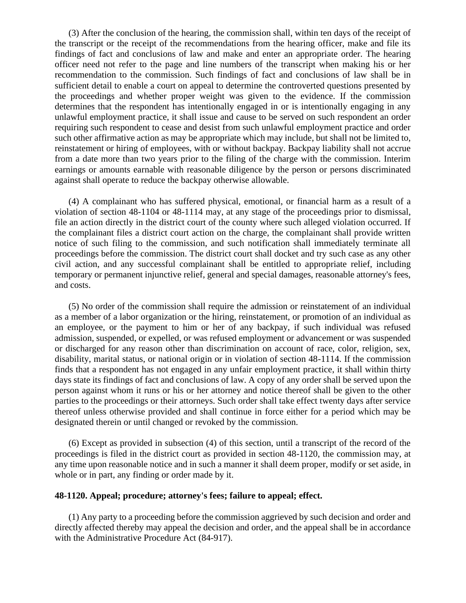(3) After the conclusion of the hearing, the commission shall, within ten days of the receipt of the transcript or the receipt of the recommendations from the hearing officer, make and file its findings of fact and conclusions of law and make and enter an appropriate order. The hearing officer need not refer to the page and line numbers of the transcript when making his or her recommendation to the commission. Such findings of fact and conclusions of law shall be in sufficient detail to enable a court on appeal to determine the controverted questions presented by the proceedings and whether proper weight was given to the evidence. If the commission determines that the respondent has intentionally engaged in or is intentionally engaging in any unlawful employment practice, it shall issue and cause to be served on such respondent an order requiring such respondent to cease and desist from such unlawful employment practice and order such other affirmative action as may be appropriate which may include, but shall not be limited to, reinstatement or hiring of employees, with or without backpay. Backpay liability shall not accrue from a date more than two years prior to the filing of the charge with the commission. Interim earnings or amounts earnable with reasonable diligence by the person or persons discriminated against shall operate to reduce the backpay otherwise allowable.

(4) A complainant who has suffered physical, emotional, or financial harm as a result of a violation of section 48-1104 or 48-1114 may, at any stage of the proceedings prior to dismissal, file an action directly in the district court of the county where such alleged violation occurred. If the complainant files a district court action on the charge, the complainant shall provide written notice of such filing to the commission, and such notification shall immediately terminate all proceedings before the commission. The district court shall docket and try such case as any other civil action, and any successful complainant shall be entitled to appropriate relief, including temporary or permanent injunctive relief, general and special damages, reasonable attorney's fees, and costs.

(5) No order of the commission shall require the admission or reinstatement of an individual as a member of a labor organization or the hiring, reinstatement, or promotion of an individual as an employee, or the payment to him or her of any backpay, if such individual was refused admission, suspended, or expelled, or was refused employment or advancement or was suspended or discharged for any reason other than discrimination on account of race, color, religion, sex, disability, marital status, or national origin or in violation of section 48-1114. If the commission finds that a respondent has not engaged in any unfair employment practice, it shall within thirty days state its findings of fact and conclusions of law. A copy of any order shall be served upon the person against whom it runs or his or her attorney and notice thereof shall be given to the other parties to the proceedings or their attorneys. Such order shall take effect twenty days after service thereof unless otherwise provided and shall continue in force either for a period which may be designated therein or until changed or revoked by the commission.

(6) Except as provided in subsection (4) of this section, until a transcript of the record of the proceedings is filed in the district court as provided in section 48-1120, the commission may, at any time upon reasonable notice and in such a manner it shall deem proper, modify or set aside, in whole or in part, any finding or order made by it.

# **48-1120. Appeal; procedure; attorney's fees; failure to appeal; effect.**

(1) Any party to a proceeding before the commission aggrieved by such decision and order and directly affected thereby may appeal the decision and order, and the appeal shall be in accordance with the Administrative Procedure Act (84-917).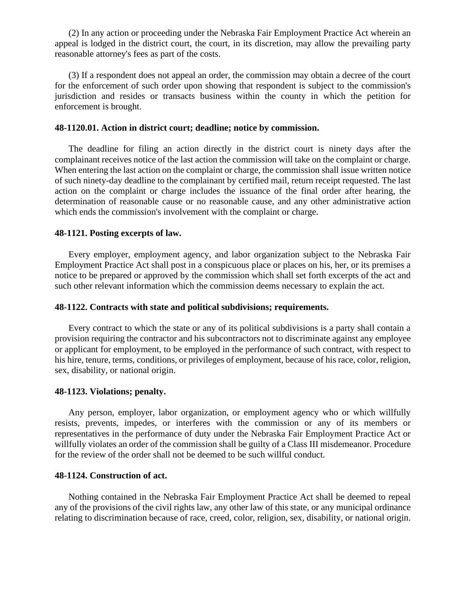(2) In any action or proceeding under the Nebraska Fair Employment Practice Act wherein an appeal is lodged in the district court, the court, in its discretion, may allow the prevailing party reasonable attorney's fees as part of the costs.

(3) If a respondent does not appeal an order, the commission may obtain a decree of the court for the enforcement of such order upon showing that respondent is subject to the commission's jurisdiction and resides or transacts business within the county in which the petition for enforcement is brought.

#### **48-1120.01. Action in district court; deadline; notice by commission.**

The deadline for filing an action directly in the district court is ninety days after the complainant receives notice of the last action the commission will take on the complaint or charge. When entering the last action on the complaint or charge, the commission shall issue written notice of such ninety-day deadline to the complainant by certified mail, return receipt requested. The last action on the complaint or charge includes the issuance of the final order after hearing, the determination of reasonable cause or no reasonable cause, and any other administrative action which ends the commission's involvement with the complaint or charge.

#### **48-1121. Posting excerpts of law.**

Every employer, employment agency, and labor organization subject to the Nebraska Fair Employment Practice Act shall post in a conspicuous place or places on his, her, or its premises a notice to be prepared or approved by the commission which shall set forth excerpts of the act and such other relevant information which the commission deems necessary to explain the act.

## **48-1122. Contracts with state and political subdivisions; requirements.**

Every contract to which the state or any of its political subdivisions is a party shall contain a provision requiring the contractor and his subcontractors not to discriminate against any employee or applicant for employment, to be employed in the performance of such contract, with respect to his hire, tenure, terms, conditions, or privileges of employment, because of his race, color, religion, sex, disability, or national origin.

#### **48-1123. Violations; penalty.**

Any person, employer, labor organization, or employment agency who or which willfully resists, prevents, impedes, or interferes with the commission or any of its members or representatives in the performance of duty under the Nebraska Fair Employment Practice Act or willfully violates an order of the commission shall be guilty of a Class III misdemeanor. Procedure for the review of the order shall not be deemed to be such willful conduct.

#### **48-1124. Construction of act.**

Nothing contained in the Nebraska Fair Employment Practice Act shall be deemed to repeal any of the provisions of the civil rights law, any other law of this state, or any municipal ordinance relating to discrimination because of race, creed, color, religion, sex, disability, or national origin.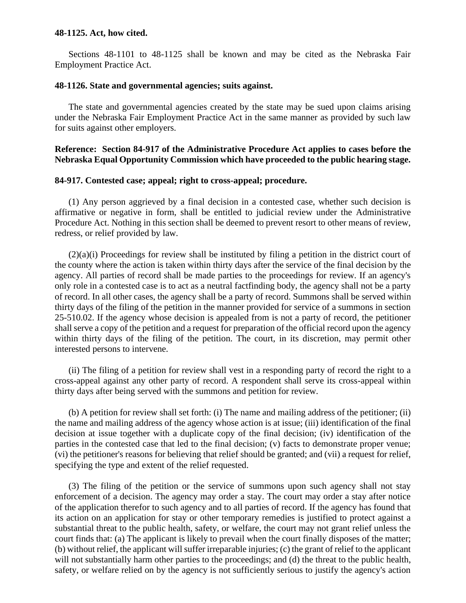#### **48-1125. Act, how cited.**

Sections 48-1101 to 48-1125 shall be known and may be cited as the Nebraska Fair Employment Practice Act.

# **48-1126. State and governmental agencies; suits against.**

The state and governmental agencies created by the state may be sued upon claims arising under the Nebraska Fair Employment Practice Act in the same manner as provided by such law for suits against other employers.

# **Reference: Section 84-917 of the Administrative Procedure Act applies to cases before the Nebraska Equal Opportunity Commission which have proceeded to the public hearing stage.**

#### **84-917. Contested case; appeal; right to cross-appeal; procedure.**

(1) Any person aggrieved by a final decision in a contested case, whether such decision is affirmative or negative in form, shall be entitled to judicial review under the Administrative Procedure Act. Nothing in this section shall be deemed to prevent resort to other means of review, redress, or relief provided by law.

 $(2)(a)(i)$  Proceedings for review shall be instituted by filing a petition in the district court of the county where the action is taken within thirty days after the service of the final decision by the agency. All parties of record shall be made parties to the proceedings for review. If an agency's only role in a contested case is to act as a neutral factfinding body, the agency shall not be a party of record. In all other cases, the agency shall be a party of record. Summons shall be served within thirty days of the filing of the petition in the manner provided for service of a summons in section 25-510.02. If the agency whose decision is appealed from is not a party of record, the petitioner shall serve a copy of the petition and a request for preparation of the official record upon the agency within thirty days of the filing of the petition. The court, in its discretion, may permit other interested persons to intervene.

(ii) The filing of a petition for review shall vest in a responding party of record the right to a cross-appeal against any other party of record. A respondent shall serve its cross-appeal within thirty days after being served with the summons and petition for review.

(b) A petition for review shall set forth: (i) The name and mailing address of the petitioner; (ii) the name and mailing address of the agency whose action is at issue; (iii) identification of the final decision at issue together with a duplicate copy of the final decision; (iv) identification of the parties in the contested case that led to the final decision; (v) facts to demonstrate proper venue; (vi) the petitioner's reasons for believing that relief should be granted; and (vii) a request for relief, specifying the type and extent of the relief requested.

(3) The filing of the petition or the service of summons upon such agency shall not stay enforcement of a decision. The agency may order a stay. The court may order a stay after notice of the application therefor to such agency and to all parties of record. If the agency has found that its action on an application for stay or other temporary remedies is justified to protect against a substantial threat to the public health, safety, or welfare, the court may not grant relief unless the court finds that: (a) The applicant is likely to prevail when the court finally disposes of the matter; (b) without relief, the applicant will suffer irreparable injuries; (c) the grant of relief to the applicant will not substantially harm other parties to the proceedings; and (d) the threat to the public health, safety, or welfare relied on by the agency is not sufficiently serious to justify the agency's action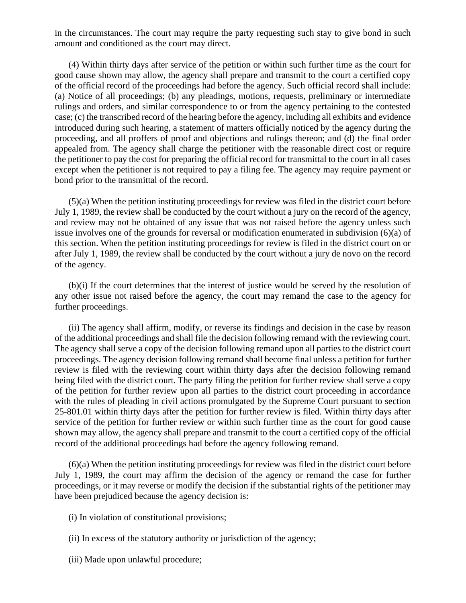in the circumstances. The court may require the party requesting such stay to give bond in such amount and conditioned as the court may direct.

(4) Within thirty days after service of the petition or within such further time as the court for good cause shown may allow, the agency shall prepare and transmit to the court a certified copy of the official record of the proceedings had before the agency. Such official record shall include: (a) Notice of all proceedings; (b) any pleadings, motions, requests, preliminary or intermediate rulings and orders, and similar correspondence to or from the agency pertaining to the contested case; (c) the transcribed record of the hearing before the agency, including all exhibits and evidence introduced during such hearing, a statement of matters officially noticed by the agency during the proceeding, and all proffers of proof and objections and rulings thereon; and (d) the final order appealed from. The agency shall charge the petitioner with the reasonable direct cost or require the petitioner to pay the cost for preparing the official record for transmittal to the court in all cases except when the petitioner is not required to pay a filing fee. The agency may require payment or bond prior to the transmittal of the record.

(5)(a) When the petition instituting proceedings for review was filed in the district court before July 1, 1989, the review shall be conducted by the court without a jury on the record of the agency, and review may not be obtained of any issue that was not raised before the agency unless such issue involves one of the grounds for reversal or modification enumerated in subdivision (6)(a) of this section. When the petition instituting proceedings for review is filed in the district court on or after July 1, 1989, the review shall be conducted by the court without a jury de novo on the record of the agency.

(b)(i) If the court determines that the interest of justice would be served by the resolution of any other issue not raised before the agency, the court may remand the case to the agency for further proceedings.

(ii) The agency shall affirm, modify, or reverse its findings and decision in the case by reason of the additional proceedings and shall file the decision following remand with the reviewing court. The agency shall serve a copy of the decision following remand upon all parties to the district court proceedings. The agency decision following remand shall become final unless a petition for further review is filed with the reviewing court within thirty days after the decision following remand being filed with the district court. The party filing the petition for further review shall serve a copy of the petition for further review upon all parties to the district court proceeding in accordance with the rules of pleading in civil actions promulgated by the Supreme Court pursuant to section 25-801.01 within thirty days after the petition for further review is filed. Within thirty days after service of the petition for further review or within such further time as the court for good cause shown may allow, the agency shall prepare and transmit to the court a certified copy of the official record of the additional proceedings had before the agency following remand.

(6)(a) When the petition instituting proceedings for review was filed in the district court before July 1, 1989, the court may affirm the decision of the agency or remand the case for further proceedings, or it may reverse or modify the decision if the substantial rights of the petitioner may have been prejudiced because the agency decision is:

(i) In violation of constitutional provisions;

- (ii) In excess of the statutory authority or jurisdiction of the agency;
- (iii) Made upon unlawful procedure;